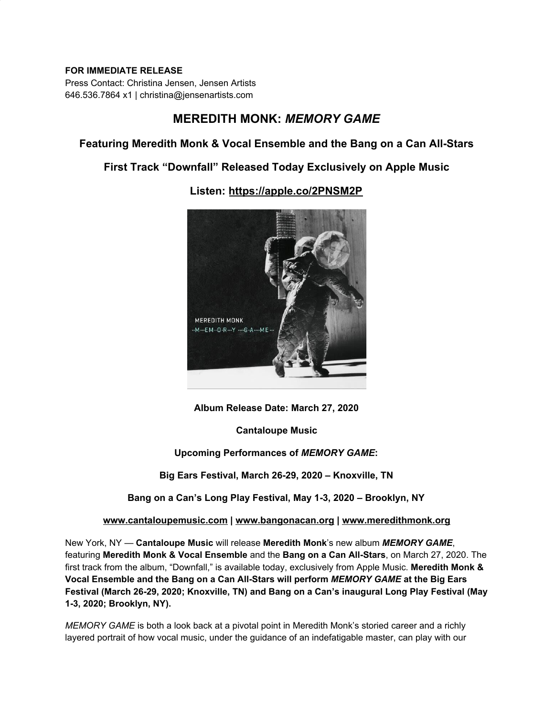### **FOR IMMEDIATE RELEASE**

Press Contact: Christina Jensen, Jensen Artists 646.536.7864 x1 | christina@jensenartists.com

# **MEREDITH MONK:** *MEMORY GAME*

## **Featuring Meredith Monk & Vocal Ensemble and the Bang on a Can All-Stars**

## **First Track "Downfall" Released Today Exclusively on Apple Music**



**Listen: [https://apple.co/2PNSM2P](https://u7061146.ct.sendgrid.net/ls/click?upn=4tNED-2FM8iDZJQyQ53jATUXX5gHLSDh2AvS3faFbQEnc-3DFBbM_IpA7hxueGg5XIsiAxedwPJ6X7KkvJosY9CQSXImWzsGT2TMlME98D1uoJFSQ2tXLntiI-2BJ2MeBovEtABaBEmsOOFc-2BVBaLMHWENAhPqWPGwZuCvZlkWFmjPYVrU5HvKRnhj8exegoitC-2BDdcdb25LXg639DZNV3E-2FIj1e4Bn9gIEGwlmKv5BVQQ9ProKwaOVOfCTUf4eYqYD6c9C8FodWBcTUuj7-2B-2FdhEuTDjTHOH34wvIq5rcCf76RfCn4M6b-2BKVHdhGz5cQKtOblBlFvH-2BjBFQYFl8ZGksYmo1h69CmIthxFn-2B05rzBoF-2FglmkWuFq-2FLC7SghSWHFQ52oewzkWgHYpklatuiQPI9WVimXCmjg-3D)**

**Album Release Date: March 27, 2020**

**Cantaloupe Music**

### **Upcoming Performances of** *MEMORY GAME***:**

**Big Ears Festival, March 26-29, 2020 – Knoxville, TN**

**Bang on a Can's Long Play Festival, May 1-3, 2020 – Brooklyn, NY**

**[www.cantaloupemusic.com](https://u7061146.ct.sendgrid.net/ls/click?upn=TeZUXWpUv-2B6TCY38pVLo9vVjXy9Wx3UTfpyAPefigSPqjomvdtyXUhzB09oCug-2B3Kd7Y_IpA7hxueGg5XIsiAxedwPJ6X7KkvJosY9CQSXImWzsGT2TMlME98D1uoJFSQ2tXLntiI-2BJ2MeBovEtABaBEmsOOFc-2BVBaLMHWENAhPqWPGwZuCvZlkWFmjPYVrU5HvKRnhj8exegoitC-2BDdcdb25LXg639DZNV3E-2FIj1e4Bn9gIEGwlmKv5BVQQ9ProKwaOVOfCTUf4eYqYD6c9C8FodWEKNro7uDCefTbyqiAMPYKE8VJOPhuJq-2BVUvggRO3P7UZN7kQVcpelIYgifFSFp-2B0ZryX3mIznbfsJZ3fUf0OjA2SrVQj3wX-2BTRZ5OMKybIrLLr6UpoHPAVECp1INz0q7ghMD2x3Cs2F4zt7sfsdSjs-3D) | [www.bangonacan.org](https://u7061146.ct.sendgrid.net/ls/click?upn=TeZUXWpUv-2B6TCY38pVLo9nBKu9wTZqx6sNS3Vfu6CXSQV-2F-2BfIIpfmcvK-2BOQ850qUc4oY_IpA7hxueGg5XIsiAxedwPJ6X7KkvJosY9CQSXImWzsGT2TMlME98D1uoJFSQ2tXLntiI-2BJ2MeBovEtABaBEmsOOFc-2BVBaLMHWENAhPqWPGwZuCvZlkWFmjPYVrU5HvKRnhj8exegoitC-2BDdcdb25LXg639DZNV3E-2FIj1e4Bn9gIEGwlmKv5BVQQ9ProKwaOVOfCTUf4eYqYD6c9C8FodWBpA4U0JUsRyUZlox8h3hJkSJFroNtUKzeWIwqqoTxTQJ3GB-2B8we8-2Fp-2FWNLw1IjxASU0tjCCD2V4lGZN-2F-2BKJhPnJ-2FfimtJz-2BufhZN8vwFnazWf1W6i-2B-2B6QCL1vD-2FjB6pydE0rGrnBHutixAf-2BPWM6-2BM-3D) | [www.meredithmonk.org](https://u7061146.ct.sendgrid.net/ls/click?upn=TeZUXWpUv-2B6TCY38pVLo9qqyPusk8YYQp2sLG8fGFqMGc8qpoeKBDvQGVKZrn1ch9bIM_IpA7hxueGg5XIsiAxedwPJ6X7KkvJosY9CQSXImWzsGT2TMlME98D1uoJFSQ2tXLntiI-2BJ2MeBovEtABaBEmsOOFc-2BVBaLMHWENAhPqWPGwZuCvZlkWFmjPYVrU5HvKRnhj8exegoitC-2BDdcdb25LXg639DZNV3E-2FIj1e4Bn9gIEGwlmKv5BVQQ9ProKwaOVOfCTUf4eYqYD6c9C8FodWDsuzTRdj626fCBD23rk8-2BkaFUik01IjrVM73x8HodbzDOlGZ4ODV5brYHX20ko4eIRhje3fC-2BSeExW-2BEqd9MHRj9Oggk3YUj4IuFsdHTcw2pKHCnb3AjwF3BhrrBld2A2nJjwLUoeylJ9j7kYiKdMc-3D)**

New York, NY — **Cantaloupe Music** will release **Meredith Monk**'s new album *MEMORY GAME*, featuring **Meredith Monk & Vocal Ensemble** and the **Bang on a Can All-Stars**, on March 27, 2020. The first track from the album, "Downfall," is available today, exclusively from Apple Music. **Meredith Monk & Vocal Ensemble and the Bang on a Can All-Stars will perform** *MEMORY GAME* **at the Big Ears Festival (March 26-29, 2020; Knoxville, TN) and Bang on a Can's inaugural Long Play Festival (May 1-3, 2020; Brooklyn, NY).**

*MEMORY GAME* is both a look back at a pivotal point in Meredith Monk's storied career and a richly layered portrait of how vocal music, under the guidance of an indefatigable master, can play with our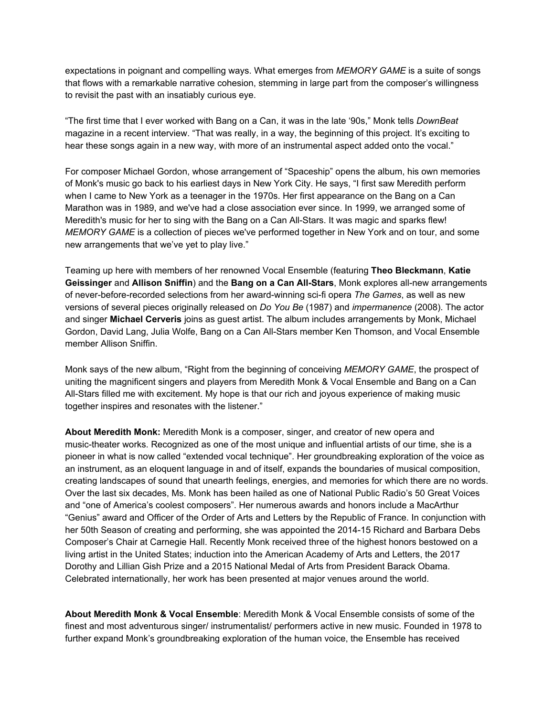expectations in poignant and compelling ways. What emerges from *MEMORY GAME* is a suite of songs that flows with a remarkable narrative cohesion, stemming in large part from the composer's willingness to revisit the past with an insatiably curious eye.

"The first time that I ever worked with Bang on a Can, it was in the late '90s," Monk tells *DownBeat* magazine in a recent interview. "That was really, in a way, the beginning of this project. It's exciting to hear these songs again in a new way, with more of an instrumental aspect added onto the vocal."

For composer Michael Gordon, whose arrangement of "Spaceship" opens the album, his own memories of Monk's music go back to his earliest days in New York City. He says, "I first saw Meredith perform when I came to New York as a teenager in the 1970s. Her first appearance on the Bang on a Can Marathon was in 1989, and we've had a close association ever since. In 1999, we arranged some of Meredith's music for her to sing with the Bang on a Can All-Stars. It was magic and sparks flew! *MEMORY GAME* is a collection of pieces we've performed together in New York and on tour, and some new arrangements that we've yet to play live."

Teaming up here with members of her renowned Vocal Ensemble (featuring **Theo Bleckmann**, **Katie Geissinger** and **Allison Sniffin**) and the **Bang on a Can All-Stars**, Monk explores all-new arrangements of never-before-recorded selections from her award-winning sci-fi opera *The Games*, as well as new versions of several pieces originally released on *Do You Be* (1987) and *impermanence* (2008). The actor and singer **Michael Cerveris** joins as guest artist. The album includes arrangements by Monk, Michael Gordon, David Lang, Julia Wolfe, Bang on a Can All-Stars member Ken Thomson, and Vocal Ensemble member Allison Sniffin.

Monk says of the new album, "Right from the beginning of conceiving *MEMORY GAME*, the prospect of uniting the magnificent singers and players from Meredith Monk & Vocal Ensemble and Bang on a Can All-Stars filled me with excitement. My hope is that our rich and joyous experience of making music together inspires and resonates with the listener."

**About Meredith Monk:** Meredith Monk is a composer, singer, and creator of new opera and music-theater works. Recognized as one of the most unique and influential artists of our time, she is a pioneer in what is now called "extended vocal technique". Her groundbreaking exploration of the voice as an instrument, as an eloquent language in and of itself, expands the boundaries of musical composition, creating landscapes of sound that unearth feelings, energies, and memories for which there are no words. Over the last six decades, Ms. Monk has been hailed as one of National Public Radio's 50 Great Voices and "one of America's coolest composers". Her numerous awards and honors include a MacArthur "Genius" award and Officer of the Order of Arts and Letters by the Republic of France. In conjunction with her 50th Season of creating and performing, she was appointed the 2014-15 Richard and Barbara Debs Composer's Chair at Carnegie Hall. Recently Monk received three of the highest honors bestowed on a living artist in the United States; induction into the American Academy of Arts and Letters, the 2017 Dorothy and Lillian Gish Prize and a 2015 National Medal of Arts from President Barack Obama. Celebrated internationally, her work has been presented at major venues around the world.

**About Meredith Monk & Vocal Ensemble**: Meredith Monk & Vocal Ensemble consists of some of the finest and most adventurous singer/ instrumentalist/ performers active in new music. Founded in 1978 to further expand Monk's groundbreaking exploration of the human voice, the Ensemble has received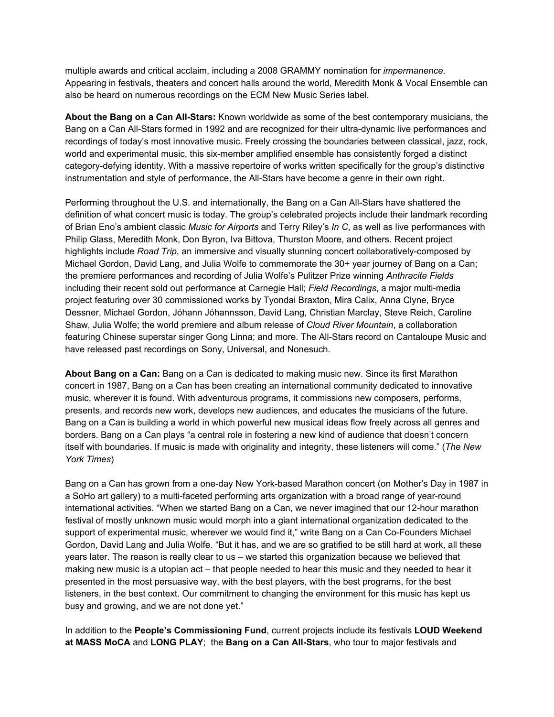multiple awards and critical acclaim, including a 2008 GRAMMY nomination for *impermanence*. Appearing in festivals, theaters and concert halls around the world, Meredith Monk & Vocal Ensemble can also be heard on numerous recordings on the ECM New Music Series label.

**About the Bang on a Can All-Stars:** Known worldwide as some of the best contemporary musicians, the Bang on a Can All-Stars formed in 1992 and are recognized for their ultra-dynamic live performances and recordings of today's most innovative music. Freely crossing the boundaries between classical, jazz, rock, world and experimental music, this six-member amplified ensemble has consistently forged a distinct category-defying identity. With a massive repertoire of works written specifically for the group's distinctive instrumentation and style of performance, the All-Stars have become a genre in their own right.

Performing throughout the U.S. and internationally, the Bang on a Can All-Stars have shattered the definition of what concert music is today. The group's celebrated projects include their landmark recording of Brian Eno's ambient classic *Music for Airports* and Terry Riley's *In C*, as well as live performances with Philip Glass, Meredith Monk, Don Byron, Iva Bittova, Thurston Moore, and others. Recent project highlights include *Road Trip*, an immersive and visually stunning concert collaboratively-composed by Michael Gordon, David Lang, and Julia Wolfe to commemorate the 30+ year journey of Bang on a Can; the premiere performances and recording of Julia Wolfe's Pulitzer Prize winning *Anthracite Fields* including their recent sold out performance at Carnegie Hall; *Field Recordings*, a major multi-media project featuring over 30 commissioned works by Tyondai Braxton, Mira Calix, Anna Clyne, Bryce Dessner, Michael Gordon, Jóhann Jóhannsson, David Lang, Christian Marclay, Steve Reich, Caroline Shaw, Julia Wolfe; the world premiere and album release of *Cloud River Mountain*, a collaboration featuring Chinese superstar singer Gong Linna; and more. The All-Stars record on Cantaloupe Music and have released past recordings on Sony, Universal, and Nonesuch.

**About Bang on a Can:** Bang on a Can is dedicated to making music new. Since its first Marathon concert in 1987, Bang on a Can has been creating an international community dedicated to innovative music, wherever it is found. With adventurous programs, it commissions new composers, performs, presents, and records new work, develops new audiences, and educates the musicians of the future. Bang on a Can is building a world in which powerful new musical ideas flow freely across all genres and borders. Bang on a Can plays "a central role in fostering a new kind of audience that doesn't concern itself with boundaries. If music is made with originality and integrity, these listeners will come." (*The New York Times*)

Bang on a Can has grown from a one-day New York-based Marathon concert (on Mother's Day in 1987 in a SoHo art gallery) to a multi-faceted performing arts organization with a broad range of year-round international activities. "When we started Bang on a Can, we never imagined that our 12-hour marathon festival of mostly unknown music would morph into a giant international organization dedicated to the support of experimental music, wherever we would find it," write Bang on a Can Co-Founders Michael Gordon, David Lang and Julia Wolfe. "But it has, and we are so gratified to be still hard at work, all these years later. The reason is really clear to us – we started this organization because we believed that making new music is a utopian act – that people needed to hear this music and they needed to hear it presented in the most persuasive way, with the best players, with the best programs, for the best listeners, in the best context. Our commitment to changing the environment for this music has kept us busy and growing, and we are not done yet."

In addition to the **People's Commissioning Fund**, current projects include its festivals **LOUD Weekend at MASS MoCA** and **LONG PLAY**; the **Bang on a Can All-Stars**, who tour to major festivals and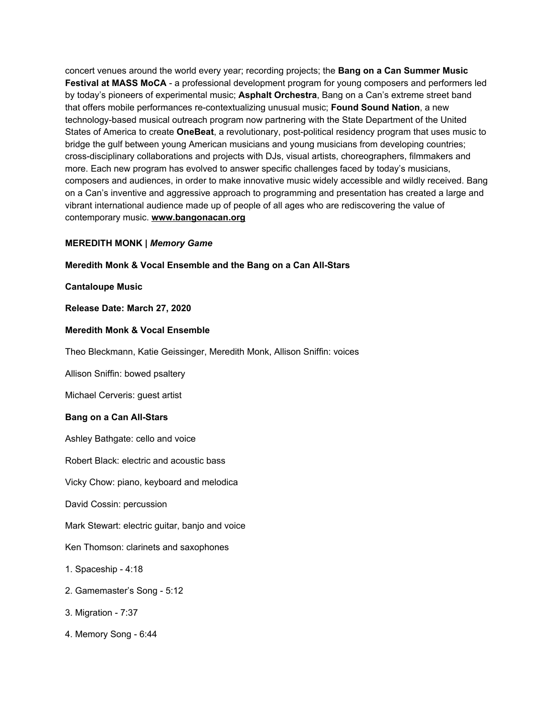concert venues around the world every year; recording projects; the **Bang on a Can Summer Music Festival at MASS MoCA** - a professional development program for young composers and performers led by today's pioneers of experimental music; **Asphalt Orchestra**, Bang on a Can's extreme street band that offers mobile performances re-contextualizing unusual music; **Found Sound Nation**, a new technology-based musical outreach program now partnering with the State Department of the United States of America to create **OneBeat**, a revolutionary, post-political residency program that uses music to bridge the gulf between young American musicians and young musicians from developing countries; cross-disciplinary collaborations and projects with DJs, visual artists, choreographers, filmmakers and more. Each new program has evolved to answer specific challenges faced by today's musicians, composers and audiences, in order to make innovative music widely accessible and wildly received. Bang on a Can's inventive and aggressive approach to programming and presentation has created a large and vibrant international audience made up of people of all ages who are rediscovering the value of contemporary music. **[www.bangonacan.org](https://u7061146.ct.sendgrid.net/ls/click?upn=TeZUXWpUv-2B6TCY38pVLo9nBKu9wTZqx6sNS3Vfu6CXSQV-2F-2BfIIpfmcvK-2BOQ850qU3Ld1_IpA7hxueGg5XIsiAxedwPJ6X7KkvJosY9CQSXImWzsGT2TMlME98D1uoJFSQ2tXLntiI-2BJ2MeBovEtABaBEmsOOFc-2BVBaLMHWENAhPqWPGwZuCvZlkWFmjPYVrU5HvKRnhj8exegoitC-2BDdcdb25LXg639DZNV3E-2FIj1e4Bn9gIEGwlmKv5BVQQ9ProKwaOVOfCTUf4eYqYD6c9C8FodWKk4Xw6rQ8l5Hprx9YBcmvM-2FxNAQ-2BPx-2FJXEVPUimflmtQiBLJE0aq-2F9ardcfvrTOA9WBsDQ3KWOFyrsDWoB-2BvkC6p6-2BCElIYqiD7KloGPKQ9L6d25REX5vp7X1Ds0LA-2BGt-2BXqix4p3lo7Uq-2BJMY4rNc-3D)**

#### **MEREDITH MONK |** *Memory Game*

#### **Meredith Monk & Vocal Ensemble and the Bang on a Can All-Stars**

#### **Cantaloupe Music**

#### **Release Date: March 27, 2020**

#### **Meredith Monk & Vocal Ensemble**

Theo Bleckmann, Katie Geissinger, Meredith Monk, Allison Sniffin: voices

Allison Sniffin: bowed psaltery

Michael Cerveris: guest artist

#### **Bang on a Can All-Stars**

Ashley Bathgate: cello and voice

Robert Black: electric and acoustic bass

Vicky Chow: piano, keyboard and melodica

David Cossin: percussion

Mark Stewart: electric guitar, banjo and voice

Ken Thomson: clarinets and saxophones

#### 1. Spaceship - 4:18

- 2. Gamemaster's Song 5:12
- 3. Migration 7:37
- 4. Memory Song 6:44